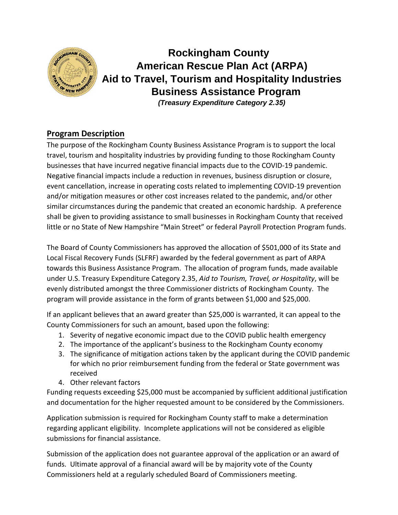

 **Rockingham County American Rescue Plan Act (ARPA) Aid to Travel, Tourism and Hospitality Industries Business Assistance Program**  *(Treasury Expenditure Category 2.35)*

## **Program Description**

The purpose of the Rockingham County Business Assistance Program is to support the local travel, tourism and hospitality industries by providing funding to those Rockingham County businesses that have incurred negative financial impacts due to the COVID-19 pandemic. Negative financial impacts include a reduction in revenues, business disruption or closure, event cancellation, increase in operating costs related to implementing COVID-19 prevention and/or mitigation measures or other cost increases related to the pandemic, and/or other similar circumstances during the pandemic that created an economic hardship. A preference shall be given to providing assistance to small businesses in Rockingham County that received little or no State of New Hampshire "Main Street" or federal Payroll Protection Program funds.

The Board of County Commissioners has approved the allocation of \$501,000 of its State and Local Fiscal Recovery Funds (SLFRF) awarded by the federal government as part of ARPA towards this Business Assistance Program. The allocation of program funds, made available under U.S. Treasury Expenditure Category 2.35, *Aid to Tourism, Travel, or Hospitality*, will be evenly distributed amongst the three Commissioner districts of Rockingham County. The program will provide assistance in the form of grants between \$1,000 and \$25,000.

If an applicant believes that an award greater than \$25,000 is warranted, it can appeal to the County Commissioners for such an amount, based upon the following:

- 1. Severity of negative economic impact due to the COVID public health emergency
- 2. The importance of the applicant's business to the Rockingham County economy
- 3. The significance of mitigation actions taken by the applicant during the COVID pandemic for which no prior reimbursement funding from the federal or State government was received
- 4. Other relevant factors

Funding requests exceeding \$25,000 must be accompanied by sufficient additional justification and documentation for the higher requested amount to be considered by the Commissioners.

Application submission is required for Rockingham County staff to make a determination regarding applicant eligibility. Incomplete applications will not be considered as eligible submissions for financial assistance.

Submission of the application does not guarantee approval of the application or an award of funds. Ultimate approval of a financial award will be by majority vote of the County Commissioners held at a regularly scheduled Board of Commissioners meeting.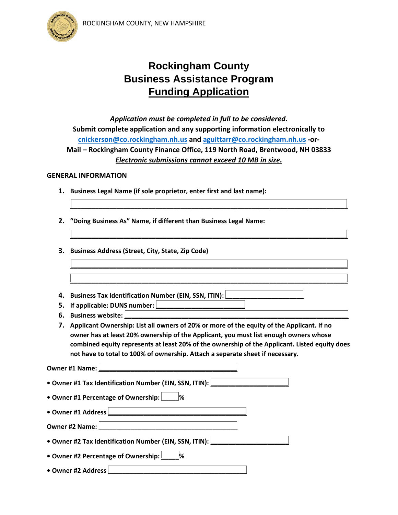



# **Rockingham County Business Assistance Program Funding Application**

*Application must be completed in full to be considered.* **Submit complete application and any supporting information electronically to [cnickerson@co.rockingham.nh.us](mailto:cnickerson@co.rockingham.nh.us) and [aguittarr@co.rockingham.nh.us](mailto:aguittarr@co.rockingham.nh.us) -or-Mail – Rockingham County Finance Office, 119 North Road, Brentwood, NH 03833** *Electronic submissions cannot exceed 10 MB in size.*

**\_\_\_\_\_\_\_\_\_\_\_\_\_\_\_\_\_\_\_\_\_\_\_\_\_\_\_\_\_\_\_\_\_\_\_\_\_\_\_\_\_\_\_\_\_\_\_\_\_\_\_\_\_\_\_\_\_\_\_\_\_\_\_\_\_\_\_\_\_\_\_\_\_\_\_\_\_\_**

**\_\_\_\_\_\_\_\_\_\_\_\_\_\_\_\_\_\_\_\_\_\_\_\_\_\_\_\_\_\_\_\_\_\_\_\_\_\_\_\_\_\_\_\_\_\_\_\_\_\_\_\_\_\_\_\_\_\_\_\_\_\_\_\_\_\_\_\_\_\_\_\_\_\_\_\_\_\_**

**\_\_\_\_\_\_\_\_\_\_\_\_\_\_\_\_\_\_\_\_\_\_\_\_\_\_\_\_\_\_\_\_\_\_\_\_\_\_\_\_\_\_\_\_\_\_\_\_\_\_\_\_\_\_\_\_\_\_\_\_\_\_\_\_\_\_\_\_\_\_\_\_\_\_\_\_\_\_**

**\_\_\_\_\_\_\_\_\_\_\_\_\_\_\_\_\_\_\_\_\_\_\_\_\_\_\_\_\_\_\_\_\_\_\_\_\_\_\_\_\_\_\_\_\_\_\_\_\_\_\_\_\_\_\_\_\_\_\_\_\_\_\_\_\_\_\_\_\_\_\_\_\_\_\_\_\_\_**

### **GENERAL INFORMATION**

- **1. Business Legal Name (if sole proprietor, enter first and last name):**
- **2. "Doing Business As" Name, if different than Business Legal Name:**
- **3. Business Address (Street, City, State, Zip Code)**
- **4.** Business Tax Identification Number (EIN, SSN, ITIN):
- **5.** If applicable: DUNS number:
- **6.** Business website:
- **7. Applicant Ownership: List all owners of 20% or more of the equity of the Applicant. If no owner has at least 20% ownership of the Applicant, you must list enough owners whose combined equity represents at least 20% of the ownership of the Applicant. Listed equity does not have to total to 100% of ownership. Attach a separate sheet if necessary.**

**Owner #1 Name:** • Owner #1 Tax Identification Number (EIN, SSN, ITIN):

**• Owner #1 Percentage of Ownership: \_\_\_\_\_%**

**• Owner #1 Address \_\_\_\_\_\_\_\_\_\_\_\_\_\_\_\_\_\_\_\_\_\_\_\_\_\_\_\_\_\_\_\_\_\_\_\_\_\_\_**

**Owner #2 Name:** 

• Owner #2 Tax Identification Number (EIN, SSN, ITIN):

**• Owner #2 Percentage of Ownership: \_\_\_\_\_%**

**• Owner #2 Address \_\_\_\_\_\_\_\_\_\_\_\_\_\_\_\_\_\_\_\_\_\_\_\_\_\_\_\_\_\_\_\_\_\_\_\_\_\_\_**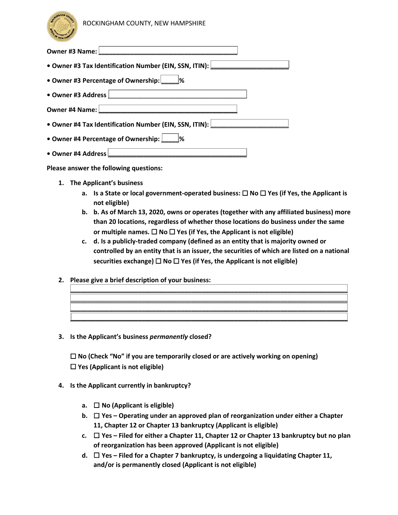

| Owner #3 Name:<br><u> 1980 - Andrea Andrew Maria (h. 1980).</u>               |
|-------------------------------------------------------------------------------|
| • Owner #3 Tax Identification Number (EIN, SSN, ITIN): $\boxed{\phantom{a} }$ |
| • Owner #3 Percentage of Ownership:                                           |
| • Owner #3 Address                                                            |
| <u> 1980 - Jan James, Amerikaansk politiker (</u><br>Owner #4 Name:           |
| • Owner #4 Tax Identification Number (EIN, SSN, ITIN):                        |
| • Owner #4 Percentage of Ownership: [                                         |
| • Owner #4 Address                                                            |

**Please answer the following questions:**

- **1. The Applicant's business**
	- **a. Is a State or local government-operated business:** ☐ **No** ☐ **Yes (if Yes, the Applicant is not eligible)**
	- **b. b. As of March 13, 2020, owns or operates (together with any affiliated business) more than 20 locations, regardless of whether those locations do business under the same** *or multiple names.* **□ No □ Yes (if Yes, the Applicant is not eligible)**
	- **c. d. Is a publicly-traded company (defined as an entity that is majority owned or controlled by an entity that is an issuer, the securities of which are listed on a national securities exchange)** ☐ **No** ☐ **Yes (if Yes, the Applicant is not eligible)**

**\_\_\_\_\_\_\_\_\_\_\_\_\_\_\_\_\_\_\_\_\_\_\_\_\_\_\_\_\_\_\_\_\_\_\_\_\_\_\_\_\_\_\_\_\_\_\_\_\_\_\_\_\_\_\_\_\_\_\_\_\_\_\_\_\_\_\_\_\_\_\_\_\_\_\_\_\_\_ \_\_\_\_\_\_\_\_\_\_\_\_\_\_\_\_\_\_\_\_\_\_\_\_\_\_\_\_\_\_\_\_\_\_\_\_\_\_\_\_\_\_\_\_\_\_\_\_\_\_\_\_\_\_\_\_\_\_\_\_\_\_\_\_\_\_\_\_\_\_\_\_\_\_\_\_\_\_ \_\_\_\_\_\_\_\_\_\_\_\_\_\_\_\_\_\_\_\_\_\_\_\_\_\_\_\_\_\_\_\_\_\_\_\_\_\_\_\_\_\_\_\_\_\_\_\_\_\_\_\_\_\_\_\_\_\_\_\_\_\_\_\_\_\_\_\_\_\_\_\_\_\_\_\_\_\_ \_\_\_\_\_\_\_\_\_\_\_\_\_\_\_\_\_\_\_\_\_\_\_\_\_\_\_\_\_\_\_\_\_\_\_\_\_\_\_\_\_\_\_\_\_\_\_\_\_\_\_\_\_\_\_\_\_\_\_\_\_\_\_\_\_\_\_\_\_\_\_\_\_\_\_\_\_\_**

- **2. Please give a brief description of your business:**
- **3. Is the Applicant's business** *permanently* **closed?**

☐ **No (Check "No" if you are temporarily closed or are actively working on opening)** ☐ **Yes (Applicant is not eligible)**

- **4. Is the Applicant currently in bankruptcy?**
	- **a.** ☐ **No (Applicant is eligible)**
	- **b.** ☐ **Yes Operating under an approved plan of reorganization under either a Chapter 11, Chapter 12 or Chapter 13 bankruptcy (Applicant is eligible)**
	- **c.** ☐ **Yes Filed for either a Chapter 11, Chapter 12 or Chapter 13 bankruptcy but no plan of reorganization has been approved (Applicant is not eligible)**
	- **d.** ☐ **Yes Filed for a Chapter 7 bankruptcy, is undergoing a liquidating Chapter 11, and/or is permanently closed (Applicant is not eligible)**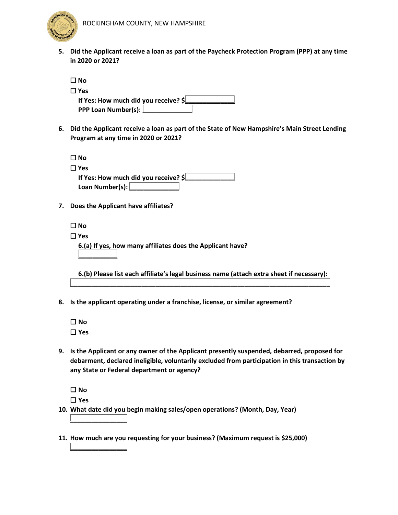

**5. Did the Applicant receive a loan as part of the Paycheck Protection Program (PPP) at any time in 2020 or 2021?**

| □lNo                                 |  |
|--------------------------------------|--|
| $\Box$ Yes                           |  |
| If Yes: How much did you receive? \$ |  |
| PPP Loan Number(s): L                |  |

**6. Did the Applicant receive a loan as part of the State of New Hampshire's Main Street Lending Program at any time in 2020 or 2021?**

| □lNo                                 |
|--------------------------------------|
| $\square$ Yes                        |
| If Yes: How much did you receive? \$ |
| Loan Number(s):                      |

**7. Does the Applicant have affiliates?**

| $\square$ No                                               |  |
|------------------------------------------------------------|--|
| $\square$ Yes                                              |  |
| 6.(a) If yes, how many affiliates does the Applicant have? |  |
|                                                            |  |

**6.(b) Please list each affiliate's legal business name (attach extra sheet if necessary): \_\_\_\_\_\_\_\_\_\_\_\_\_\_\_\_\_\_\_\_\_\_\_\_\_\_\_\_\_\_\_\_\_\_\_\_\_\_\_\_\_\_\_\_\_\_\_\_\_\_\_\_\_\_\_\_\_\_\_\_\_\_\_\_\_\_\_\_\_\_\_\_\_**

- **8. Is the applicant operating under a franchise, license, or similar agreement?**
	- ☐ **No** ☐ **Yes**
- **9. Is the Applicant or any owner of the Applicant presently suspended, debarred, proposed for debarment, declared ineligible, voluntarily excluded from participation in this transaction by any State or Federal department or agency?**
	- ☐ **No** ☐ **Yes**

**\_\_\_\_\_\_\_\_\_\_\_\_\_\_\_\_**

**\_\_\_\_\_\_\_\_\_\_\_\_\_\_\_\_**

- **10. What date did you begin making sales/open operations? (Month, Day, Year)**
- **11. How much are you requesting for your business? (Maximum request is \$25,000)**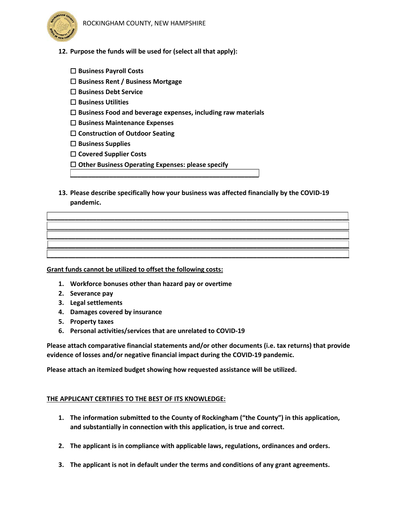



- **12. Purpose the funds will be used for (select all that apply):**
	- ☐ **Business Payroll Costs**
	- ☐ **Business Rent / Business Mortgage**
	- ☐ **Business Debt Service**
	- ☐ **Business Utilities**
	- ☐ **Business Food and beverage expenses, including raw materials**

**\_\_\_\_\_\_\_\_\_\_\_\_\_\_\_\_\_\_\_\_\_\_\_\_\_\_\_\_\_\_\_\_\_\_\_\_\_\_\_\_\_\_\_\_\_\_\_\_\_\_\_\_\_**

- ☐ **Business Maintenance Expenses**
- ☐ **Construction of Outdoor Seating**
- ☐ **Business Supplies**
- ☐ **Covered Supplier Costs**
- ☐ **Other Business Operating Expenses: please specify**
- **13. Please describe specifically how your business was affected financially by the COVID-19 pandemic.**

**\_\_\_\_\_\_\_\_\_\_\_\_\_\_\_\_\_\_\_\_\_\_\_\_\_\_\_\_\_\_\_\_\_\_\_\_\_\_\_\_\_\_\_\_\_\_\_\_\_\_\_\_\_\_\_\_\_\_\_\_\_\_\_\_\_\_\_\_\_\_\_\_\_\_\_\_\_\_\_\_\_\_\_\_\_ \_\_\_\_\_\_\_\_\_\_\_\_\_\_\_\_\_\_\_\_\_\_\_\_\_\_\_\_\_\_\_\_\_\_\_\_\_\_\_\_\_\_\_\_\_\_\_\_\_\_\_\_\_\_\_\_\_\_\_\_\_\_\_\_\_\_\_\_\_\_\_\_\_\_\_\_\_\_\_\_\_\_\_\_\_ \_\_\_\_\_\_\_\_\_\_\_\_\_\_\_\_\_\_\_\_\_\_\_\_\_\_\_\_\_\_\_\_\_\_\_\_\_\_\_\_\_\_\_\_\_\_\_\_\_\_\_\_\_\_\_\_\_\_\_\_\_\_\_\_\_\_\_\_\_\_\_\_\_\_\_\_\_\_\_\_\_\_\_\_\_ \_\_\_\_\_\_\_\_\_\_\_\_\_\_\_\_\_\_\_\_\_\_\_\_\_\_\_\_\_\_\_\_\_\_\_\_\_\_\_\_\_\_\_\_\_\_\_\_\_\_\_\_\_\_\_\_\_\_\_\_\_\_\_\_\_\_\_\_\_\_\_\_\_\_\_\_\_\_\_\_\_\_\_\_\_ \_\_\_\_\_\_\_\_\_\_\_\_\_\_\_\_\_\_\_\_\_\_\_\_\_\_\_\_\_\_\_\_\_\_\_\_\_\_\_\_\_\_\_\_\_\_\_\_\_\_\_\_\_\_\_\_\_\_\_\_\_\_\_\_\_\_\_\_\_\_\_\_\_\_\_\_\_\_\_\_\_\_\_\_\_**

**Grant funds cannot be utilized to offset the following costs:**

- **1. Workforce bonuses other than hazard pay or overtime**
- **2. Severance pay**
- **3. Legal settlements**
- **4. Damages covered by insurance**
- **5. Property taxes**
- **6. Personal activities/services that are unrelated to COVID-19**

**Please attach comparative financial statements and/or other documents (i.e. tax returns) that provide evidence of losses and/or negative financial impact during the COVID-19 pandemic.**

**Please attach an itemized budget showing how requested assistance will be utilized.**

### **THE APPLICANT CERTIFIES TO THE BEST OF ITS KNOWLEDGE:**

- **1. The information submitted to the County of Rockingham ("the County") in this application, and substantially in connection with this application, is true and correct.**
- **2. The applicant is in compliance with applicable laws, regulations, ordinances and orders.**
- **3. The applicant is not in default under the terms and conditions of any grant agreements.**